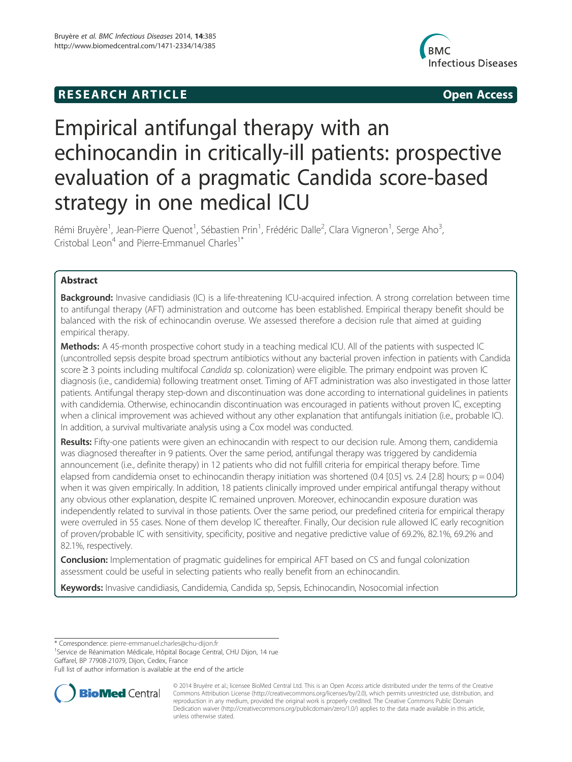# **RESEARCH ARTICLE Example 2014 12:30 The SEAR CHA RESEARCH ARTICLE**



# Empirical antifungal therapy with an echinocandin in critically-ill patients: prospective evaluation of a pragmatic Candida score-based strategy in one medical ICU

Rémi Bruyère<sup>1</sup>, Jean-Pierre Quenot<sup>1</sup>, Sébastien Prin<sup>1</sup>, Frédéric Dalle<sup>2</sup>, Clara Vigneron<sup>1</sup>, Serge Aho<sup>3</sup> , Cristobal Leon<sup>4</sup> and Pierre-Emmanuel Charles<sup>1\*</sup>

# Abstract

Background: Invasive candidiasis (IC) is a life-threatening ICU-acquired infection. A strong correlation between time to antifungal therapy (AFT) administration and outcome has been established. Empirical therapy benefit should be balanced with the risk of echinocandin overuse. We assessed therefore a decision rule that aimed at guiding empirical therapy.

Methods: A 45-month prospective cohort study in a teaching medical ICU. All of the patients with suspected IC (uncontrolled sepsis despite broad spectrum antibiotics without any bacterial proven infection in patients with Candida score ≥ 3 points including multifocal *Candida* sp. colonization) were eligible. The primary endpoint was proven IC diagnosis (i.e., candidemia) following treatment onset. Timing of AFT administration was also investigated in those latter patients. Antifungal therapy step-down and discontinuation was done according to international guidelines in patients with candidemia. Otherwise, echinocandin discontinuation was encouraged in patients without proven IC, excepting when a clinical improvement was achieved without any other explanation that antifungals initiation (i.e., probable IC). In addition, a survival multivariate analysis using a Cox model was conducted.

Results: Fifty-one patients were given an echinocandin with respect to our decision rule. Among them, candidemia was diagnosed thereafter in 9 patients. Over the same period, antifungal therapy was triggered by candidemia announcement (i.e., definite therapy) in 12 patients who did not fulfill criteria for empirical therapy before. Time elapsed from candidemia onset to echinocandin therapy initiation was shortened (0.4 [0.5] vs. 2.4 [2.8] hours;  $p = 0.04$ ) when it was given empirically. In addition, 18 patients clinically improved under empirical antifungal therapy without any obvious other explanation, despite IC remained unproven. Moreover, echinocandin exposure duration was independently related to survival in those patients. Over the same period, our predefined criteria for empirical therapy were overruled in 55 cases. None of them develop IC thereafter. Finally, Our decision rule allowed IC early recognition of proven/probable IC with sensitivity, specificity, positive and negative predictive value of 69.2%, 82.1%, 69.2% and 82.1%, respectively.

**Conclusion:** Implementation of pragmatic guidelines for empirical AFT based on CS and fungal colonization assessment could be useful in selecting patients who really benefit from an echinocandin.

Keywords: Invasive candidiasis, Candidemia, Candida sp, Sepsis, Echinocandin, Nosocomial infection

\* Correspondence: pierre-emmanuel.charles@chu-dijon.fr <sup>1</sup>

<sup>1</sup>Service de Réanimation Médicale, Hôpital Bocage Central, CHU Dijon, 14 rue Gaffarel, BP 77908-21079, Dijon, Cedex, France

Full list of author information is available at the end of the article



© 2014 Bruyère et al.; licensee BioMed Central Ltd. This is an Open Access article distributed under the terms of the Creative Commons Attribution License (http://creativecommons.org/licenses/by/2.0), which permits unrestricted use, distribution, and reproduction in any medium, provided the original work is properly credited. The Creative Commons Public Domain Dedication waiver (http://creativecommons.org/publicdomain/zero/1.0/) applies to the data made available in this article, unless otherwise stated.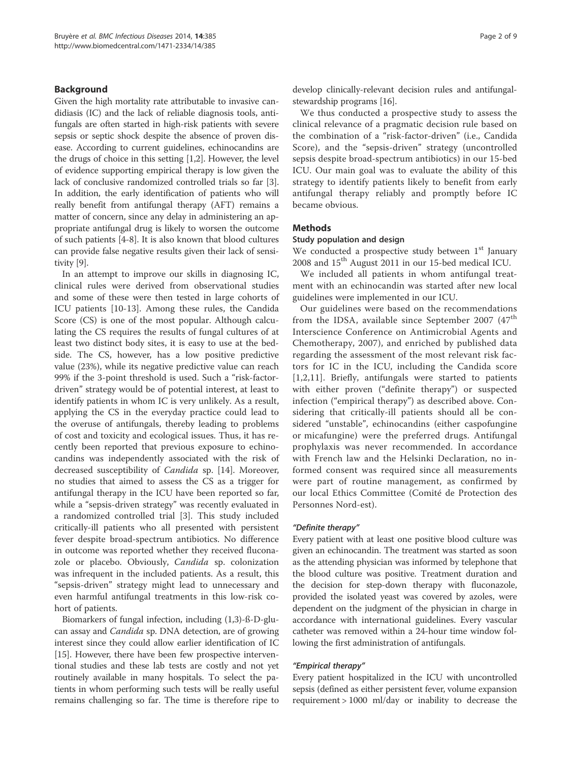## Background

Given the high mortality rate attributable to invasive candidiasis (IC) and the lack of reliable diagnosis tools, antifungals are often started in high-risk patients with severe sepsis or septic shock despite the absence of proven disease. According to current guidelines, echinocandins are the drugs of choice in this setting [1,2]. However, the level of evidence supporting empirical therapy is low given the lack of conclusive randomized controlled trials so far [3]. In addition, the early identification of patients who will really benefit from antifungal therapy (AFT) remains a matter of concern, since any delay in administering an appropriate antifungal drug is likely to worsen the outcome of such patients [4-8]. It is also known that blood cultures can provide false negative results given their lack of sensitivity [9].

In an attempt to improve our skills in diagnosing IC, clinical rules were derived from observational studies and some of these were then tested in large cohorts of ICU patients [10-13]. Among these rules, the Candida Score (CS) is one of the most popular. Although calculating the CS requires the results of fungal cultures of at least two distinct body sites, it is easy to use at the bedside. The CS, however, has a low positive predictive value (23%), while its negative predictive value can reach 99% if the 3-point threshold is used. Such a "risk-factordriven" strategy would be of potential interest, at least to identify patients in whom IC is very unlikely. As a result, applying the CS in the everyday practice could lead to the overuse of antifungals, thereby leading to problems of cost and toxicity and ecological issues. Thus, it has recently been reported that previous exposure to echinocandins was independently associated with the risk of decreased susceptibility of Candida sp. [14]. Moreover, no studies that aimed to assess the CS as a trigger for antifungal therapy in the ICU have been reported so far, while a "sepsis-driven strategy" was recently evaluated in a randomized controlled trial [3]. This study included critically-ill patients who all presented with persistent fever despite broad-spectrum antibiotics. No difference in outcome was reported whether they received fluconazole or placebo. Obviously, Candida sp. colonization was infrequent in the included patients. As a result, this "sepsis-driven" strategy might lead to unnecessary and even harmful antifungal treatments in this low-risk cohort of patients.

Biomarkers of fungal infection, including (1,3)-ß-D-glucan assay and Candida sp. DNA detection, are of growing interest since they could allow earlier identification of IC [15]. However, there have been few prospective interventional studies and these lab tests are costly and not yet routinely available in many hospitals. To select the patients in whom performing such tests will be really useful remains challenging so far. The time is therefore ripe to develop clinically-relevant decision rules and antifungalstewardship programs [16].

We thus conducted a prospective study to assess the clinical relevance of a pragmatic decision rule based on the combination of a "risk-factor-driven" (i.e., Candida Score), and the "sepsis-driven" strategy (uncontrolled sepsis despite broad-spectrum antibiotics) in our 15-bed ICU. Our main goal was to evaluate the ability of this strategy to identify patients likely to benefit from early antifungal therapy reliably and promptly before IC became obvious.

#### Methods

#### Study population and design

We conducted a prospective study between  $1<sup>st</sup>$  January 2008 and  $15<sup>th</sup>$  August 2011 in our 15-bed medical ICU.

We included all patients in whom antifungal treatment with an echinocandin was started after new local guidelines were implemented in our ICU.

Our guidelines were based on the recommendations from the IDSA, available since September 2007 (47<sup>th</sup> Interscience Conference on Antimicrobial Agents and Chemotherapy, 2007), and enriched by published data regarding the assessment of the most relevant risk factors for IC in the ICU, including the Candida score [1,2,11]. Briefly, antifungals were started to patients with either proven ("definite therapy") or suspected infection ("empirical therapy") as described above. Considering that critically-ill patients should all be considered "unstable", echinocandins (either caspofungine or micafungine) were the preferred drugs. Antifungal prophylaxis was never recommended. In accordance with French law and the Helsinki Declaration, no informed consent was required since all measurements were part of routine management, as confirmed by our local Ethics Committee (Comité de Protection des Personnes Nord-est).

#### "Definite therapy"

Every patient with at least one positive blood culture was given an echinocandin. The treatment was started as soon as the attending physician was informed by telephone that the blood culture was positive. Treatment duration and the decision for step-down therapy with fluconazole, provided the isolated yeast was covered by azoles, were dependent on the judgment of the physician in charge in accordance with international guidelines. Every vascular catheter was removed within a 24-hour time window following the first administration of antifungals.

#### "Empirical therapy"

Every patient hospitalized in the ICU with uncontrolled sepsis (defined as either persistent fever, volume expansion requirement > 1000 ml/day or inability to decrease the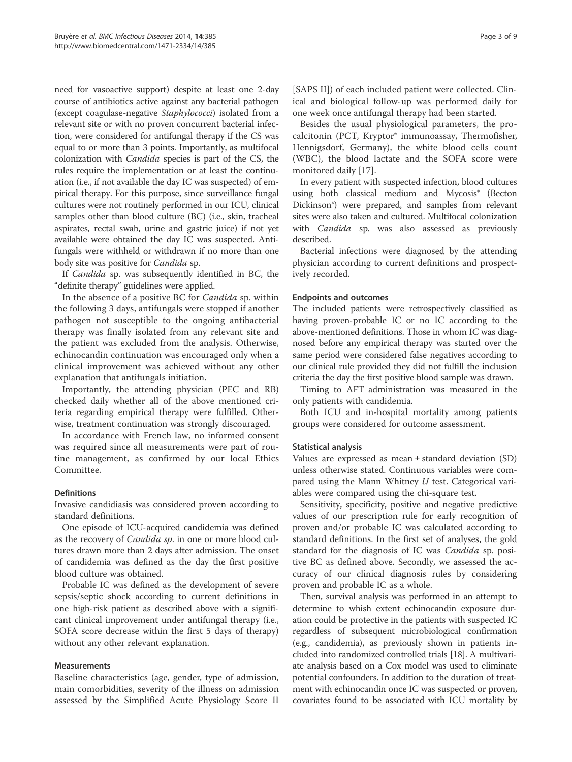need for vasoactive support) despite at least one 2-day course of antibiotics active against any bacterial pathogen (except coagulase-negative Staphylococci) isolated from a relevant site or with no proven concurrent bacterial infection, were considered for antifungal therapy if the CS was equal to or more than 3 points. Importantly, as multifocal colonization with Candida species is part of the CS, the rules require the implementation or at least the continuation (i.e., if not available the day IC was suspected) of empirical therapy. For this purpose, since surveillance fungal cultures were not routinely performed in our ICU, clinical samples other than blood culture (BC) (i.e., skin, tracheal aspirates, rectal swab, urine and gastric juice) if not yet available were obtained the day IC was suspected. Antifungals were withheld or withdrawn if no more than one body site was positive for Candida sp.

If Candida sp. was subsequently identified in BC, the "definite therapy" guidelines were applied.

In the absence of a positive BC for Candida sp. within the following 3 days, antifungals were stopped if another pathogen not susceptible to the ongoing antibacterial therapy was finally isolated from any relevant site and the patient was excluded from the analysis. Otherwise, echinocandin continuation was encouraged only when a clinical improvement was achieved without any other explanation that antifungals initiation.

Importantly, the attending physician (PEC and RB) checked daily whether all of the above mentioned criteria regarding empirical therapy were fulfilled. Otherwise, treatment continuation was strongly discouraged.

In accordance with French law, no informed consent was required since all measurements were part of routine management, as confirmed by our local Ethics Committee.

# Definitions

Invasive candidiasis was considered proven according to standard definitions.

One episode of ICU-acquired candidemia was defined as the recovery of *Candida sp*. in one or more blood cultures drawn more than 2 days after admission. The onset of candidemia was defined as the day the first positive blood culture was obtained.

Probable IC was defined as the development of severe sepsis/septic shock according to current definitions in one high-risk patient as described above with a significant clinical improvement under antifungal therapy (i.e., SOFA score decrease within the first 5 days of therapy) without any other relevant explanation.

#### Measurements

Baseline characteristics (age, gender, type of admission, main comorbidities, severity of the illness on admission assessed by the Simplified Acute Physiology Score II

[SAPS II]) of each included patient were collected. Clinical and biological follow-up was performed daily for one week once antifungal therapy had been started.

Besides the usual physiological parameters, the procalcitonin (PCT, Kryptor® immunoassay, Thermofisher, Hennigsdorf, Germany), the white blood cells count (WBC), the blood lactate and the SOFA score were monitored daily [17].

In every patient with suspected infection, blood cultures using both classical medium and Mycosis® (Becton Dickinson®) were prepared, and samples from relevant sites were also taken and cultured. Multifocal colonization with *Candida* sp. was also assessed as previously described.

Bacterial infections were diagnosed by the attending physician according to current definitions and prospectively recorded.

#### Endpoints and outcomes

The included patients were retrospectively classified as having proven-probable IC or no IC according to the above-mentioned definitions. Those in whom IC was diagnosed before any empirical therapy was started over the same period were considered false negatives according to our clinical rule provided they did not fulfill the inclusion criteria the day the first positive blood sample was drawn.

Timing to AFT administration was measured in the only patients with candidemia.

Both ICU and in-hospital mortality among patients groups were considered for outcome assessment.

# Statistical analysis

Values are expressed as mean ± standard deviation (SD) unless otherwise stated. Continuous variables were compared using the Mann Whitney  $U$  test. Categorical variables were compared using the chi-square test.

Sensitivity, specificity, positive and negative predictive values of our prescription rule for early recognition of proven and/or probable IC was calculated according to standard definitions. In the first set of analyses, the gold standard for the diagnosis of IC was Candida sp. positive BC as defined above. Secondly, we assessed the accuracy of our clinical diagnosis rules by considering proven and probable IC as a whole.

Then, survival analysis was performed in an attempt to determine to whish extent echinocandin exposure duration could be protective in the patients with suspected IC regardless of subsequent microbiological confirmation (e.g., candidemia), as previously shown in patients included into randomized controlled trials [18]. A multivariate analysis based on a Cox model was used to eliminate potential confounders. In addition to the duration of treatment with echinocandin once IC was suspected or proven, covariates found to be associated with ICU mortality by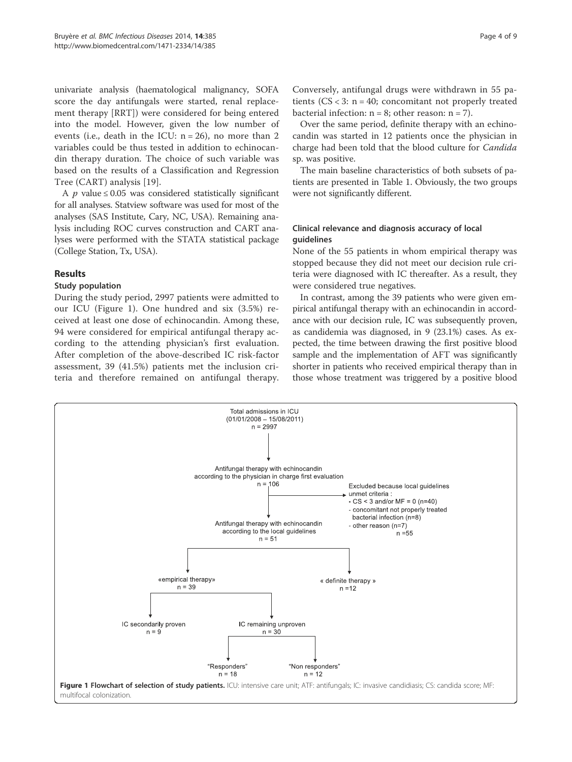univariate analysis (haematological malignancy, SOFA score the day antifungals were started, renal replacement therapy [RRT]) were considered for being entered into the model. However, given the low number of events (i.e., death in the ICU:  $n = 26$ ), no more than 2 variables could be thus tested in addition to echinocandin therapy duration. The choice of such variable was based on the results of a Classification and Regression Tree (CART) analysis [19].

A  $p$  value  $\leq$  0.05 was considered statistically significant for all analyses. Statview software was used for most of the analyses (SAS Institute, Cary, NC, USA). Remaining analysis including ROC curves construction and CART analyses were performed with the STATA statistical package (College Station, Tx, USA).

## Results

# Study population

During the study period, 2997 patients were admitted to our ICU (Figure 1). One hundred and six (3.5%) received at least one dose of echinocandin. Among these, 94 were considered for empirical antifungal therapy according to the attending physician's first evaluation. After completion of the above-described IC risk-factor assessment, 39 (41.5%) patients met the inclusion criteria and therefore remained on antifungal therapy.

Conversely, antifungal drugs were withdrawn in 55 patients  $(CS < 3: n = 40$ ; concomitant not properly treated bacterial infection:  $n = 8$ ; other reason:  $n = 7$ ).

Over the same period, definite therapy with an echinocandin was started in 12 patients once the physician in charge had been told that the blood culture for Candida sp. was positive.

The main baseline characteristics of both subsets of patients are presented in Table 1. Obviously, the two groups were not significantly different.

# Clinical relevance and diagnosis accuracy of local guidelines

None of the 55 patients in whom empirical therapy was stopped because they did not meet our decision rule criteria were diagnosed with IC thereafter. As a result, they were considered true negatives.

In contrast, among the 39 patients who were given empirical antifungal therapy with an echinocandin in accordance with our decision rule, IC was subsequently proven, as candidemia was diagnosed, in 9 (23.1%) cases. As expected, the time between drawing the first positive blood sample and the implementation of AFT was significantly shorter in patients who received empirical therapy than in those whose treatment was triggered by a positive blood

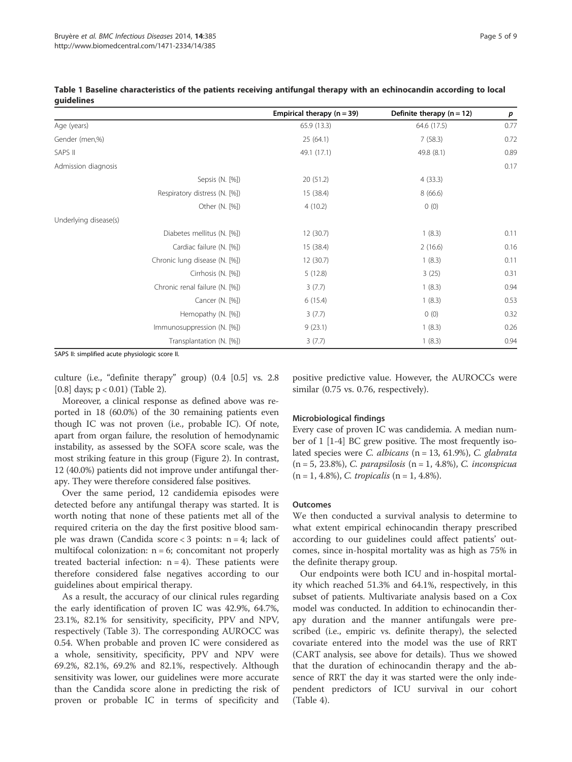|                       |                                | Empirical therapy $(n = 39)$ | Definite therapy $(n = 12)$ | p    |
|-----------------------|--------------------------------|------------------------------|-----------------------------|------|
| Age (years)           |                                | 65.9(13.3)                   | 64.6 (17.5)                 | 0.77 |
| Gender (men,%)        |                                | 25(64.1)                     | 7(58.3)                     | 0.72 |
| SAPS II               |                                | 49.1 (17.1)                  | 49.8 (8.1)                  | 0.89 |
| Admission diagnosis   |                                |                              |                             | 0.17 |
|                       | Sepsis (N. [%])                | 20 (51.2)                    | 4(33.3)                     |      |
|                       | Respiratory distress (N. [%])  | 15 (38.4)                    | 8(66.6)                     |      |
|                       | Other (N. [%])                 | 4(10.2)                      | 0(0)                        |      |
| Underlying disease(s) |                                |                              |                             |      |
|                       | Diabetes mellitus (N. [%])     | 12(30.7)                     | 1(8.3)                      | 0.11 |
|                       | Cardiac failure (N. [%])       | 15 (38.4)                    | 2(16.6)                     | 0.16 |
|                       | Chronic lung disease (N. [%])  | 12(30.7)                     | 1(8.3)                      | 0.11 |
|                       | Cirrhosis (N. [%])             | 5(12.8)                      | 3(25)                       | 0.31 |
|                       | Chronic renal failure (N. [%]) | 3(7.7)                       | 1(8.3)                      | 0.94 |
|                       | Cancer (N. [%])                | 6(15.4)                      | 1(8.3)                      | 0.53 |
|                       | Hemopathy (N. [%])             | 3(7.7)                       | 0(0)                        | 0.32 |
|                       | Immunosuppression (N. [%])     | 9(23.1)                      | 1(8.3)                      | 0.26 |
|                       | Transplantation (N. [%])       | 3(7.7)                       | 1(8.3)                      | 0.94 |

|            | Table 1 Baseline characteristics of the patients receiving antifungal therapy with an echinocandin according to local |  |  |  |  |  |
|------------|-----------------------------------------------------------------------------------------------------------------------|--|--|--|--|--|
| auidelines |                                                                                                                       |  |  |  |  |  |

SAPS II: simplified acute physiologic score II.

culture (i.e., "definite therapy" group) (0.4 [0.5] vs. 2.8 [0.8] days; p < 0.01) (Table 2).

Moreover, a clinical response as defined above was reported in 18 (60.0%) of the 30 remaining patients even though IC was not proven (i.e., probable IC). Of note, apart from organ failure, the resolution of hemodynamic instability, as assessed by the SOFA score scale, was the most striking feature in this group (Figure 2). In contrast, 12 (40.0%) patients did not improve under antifungal therapy. They were therefore considered false positives.

Over the same period, 12 candidemia episodes were detected before any antifungal therapy was started. It is worth noting that none of these patients met all of the required criteria on the day the first positive blood sample was drawn (Candida score < 3 points: n = 4; lack of multifocal colonization:  $n = 6$ ; concomitant not properly treated bacterial infection:  $n = 4$ ). These patients were therefore considered false negatives according to our guidelines about empirical therapy.

As a result, the accuracy of our clinical rules regarding the early identification of proven IC was 42.9%, 64.7%, 23.1%, 82.1% for sensitivity, specificity, PPV and NPV, respectively (Table 3). The corresponding AUROCC was 0.54. When probable and proven IC were considered as a whole, sensitivity, specificity, PPV and NPV were 69.2%, 82.1%, 69.2% and 82.1%, respectively. Although sensitivity was lower, our guidelines were more accurate than the Candida score alone in predicting the risk of proven or probable IC in terms of specificity and

positive predictive value. However, the AUROCCs were similar (0.75 vs. 0.76, respectively).

## Microbiological findings

Every case of proven IC was candidemia. A median number of 1 [1-4] BC grew positive. The most frequently isolated species were C. albicans (n = 13, 61.9%), C. glabrata  $(n = 5, 23.8\%)$ , C. parapsilosis  $(n = 1, 4.8\%)$ , C. inconspicua  $(n = 1, 4.8\%), C. tropicalis (n = 1, 4.8\%).$ 

#### **Outcomes**

We then conducted a survival analysis to determine to what extent empirical echinocandin therapy prescribed according to our guidelines could affect patients' outcomes, since in-hospital mortality was as high as 75% in the definite therapy group.

Our endpoints were both ICU and in-hospital mortality which reached 51.3% and 64.1%, respectively, in this subset of patients. Multivariate analysis based on a Cox model was conducted. In addition to echinocandin therapy duration and the manner antifungals were prescribed (i.e., empiric vs. definite therapy), the selected covariate entered into the model was the use of RRT (CART analysis, see above for details). Thus we showed that the duration of echinocandin therapy and the absence of RRT the day it was started were the only independent predictors of ICU survival in our cohort (Table 4).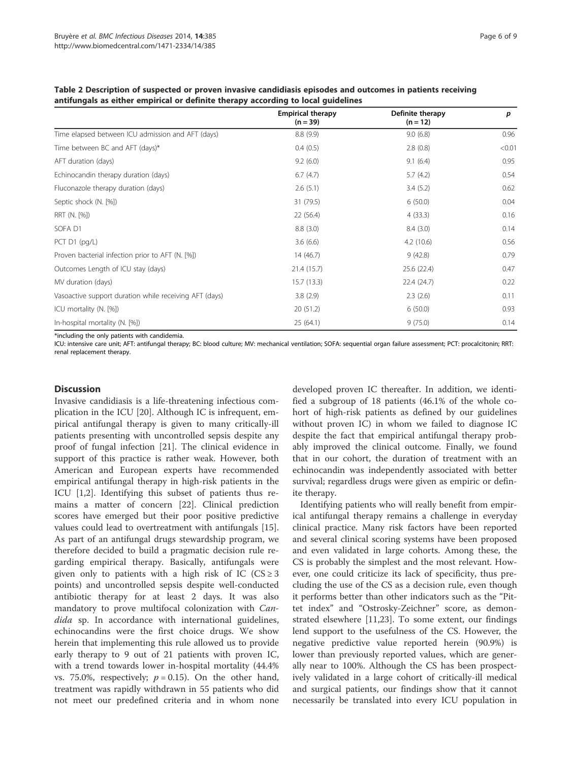| Table 2 Description of suspected or proven invasive candidiasis episodes and outcomes in patients receiving |
|-------------------------------------------------------------------------------------------------------------|
| antifungals as either empirical or definite therapy according to local guidelines                           |

|                                                        | <b>Empirical therapy</b><br>$(n = 39)$ | Definite therapy<br>$(n = 12)$ | p      |
|--------------------------------------------------------|----------------------------------------|--------------------------------|--------|
| Time elapsed between ICU admission and AFT (days)      | 8.8(9.9)                               | 9.0(6.8)                       | 0.96   |
| Time between BC and AFT (days)*                        | 0.4(0.5)                               | 2.8(0.8)                       | < 0.01 |
| AFT duration (days)                                    | 9.2(6.0)                               | 9.1(6.4)                       | 0.95   |
| Echinocandin therapy duration (days)                   | 6.7(4.7)                               | 5.7(4.2)                       | 0.54   |
| Fluconazole therapy duration (days)                    | 2.6(5.1)                               | 3.4(5.2)                       | 0.62   |
| Septic shock (N. [%])                                  | 31 (79.5)                              | 6(50.0)                        | 0.04   |
| RRT (N. [%])                                           | 22(56.4)                               | 4(33.3)                        | 0.16   |
| SOFA D1                                                | 8.8(3.0)                               | 8.4(3.0)                       | 0.14   |
| PCT D1 (pg/L)                                          | 3.6(6.6)                               | 4.2(10.6)                      | 0.56   |
| Proven bacterial infection prior to AFT (N. [%])       | 14(46.7)                               | 9(42.8)                        | 0.79   |
| Outcomes Length of ICU stay (days)                     | 21.4(15.7)                             | 25.6 (22.4)                    | 0.47   |
| MV duration (days)                                     | 15.7(13.3)                             | 22.4 (24.7)                    | 0.22   |
| Vasoactive support duration while receiving AFT (days) | 3.8(2.9)                               | 2.3(2.6)                       | 0.11   |
| ICU mortality (N. [%])                                 | 20(51.2)                               | 6(50.0)                        | 0.93   |
| In-hospital mortality (N. [%])                         | 25(64.1)                               | 9(75.0)                        | 0.14   |

\*including the only patients with candidemia.

ICU: intensive care unit; AFT: antifungal therapy; BC: blood culture; MV: mechanical ventilation; SOFA: sequential organ failure assessment; PCT: procalcitonin; RRT: renal replacement therapy.

#### **Discussion**

Invasive candidiasis is a life-threatening infectious complication in the ICU [20]. Although IC is infrequent, empirical antifungal therapy is given to many critically-ill patients presenting with uncontrolled sepsis despite any proof of fungal infection [21]. The clinical evidence in support of this practice is rather weak. However, both American and European experts have recommended empirical antifungal therapy in high-risk patients in the ICU [1,2]. Identifying this subset of patients thus remains a matter of concern [22]. Clinical prediction scores have emerged but their poor positive predictive values could lead to overtreatment with antifungals [15]. As part of an antifungal drugs stewardship program, we therefore decided to build a pragmatic decision rule regarding empirical therapy. Basically, antifungals were given only to patients with a high risk of IC ( $CS \geq 3$ ) points) and uncontrolled sepsis despite well-conducted antibiotic therapy for at least 2 days. It was also mandatory to prove multifocal colonization with Candida sp. In accordance with international guidelines, echinocandins were the first choice drugs. We show herein that implementing this rule allowed us to provide early therapy to 9 out of 21 patients with proven IC, with a trend towards lower in-hospital mortality (44.4% vs. 75.0%, respectively;  $p = 0.15$ ). On the other hand, treatment was rapidly withdrawn in 55 patients who did not meet our predefined criteria and in whom none developed proven IC thereafter. In addition, we identified a subgroup of 18 patients (46.1% of the whole cohort of high-risk patients as defined by our guidelines without proven IC) in whom we failed to diagnose IC despite the fact that empirical antifungal therapy probably improved the clinical outcome. Finally, we found that in our cohort, the duration of treatment with an echinocandin was independently associated with better survival; regardless drugs were given as empiric or definite therapy.

Identifying patients who will really benefit from empirical antifungal therapy remains a challenge in everyday clinical practice. Many risk factors have been reported and several clinical scoring systems have been proposed and even validated in large cohorts. Among these, the CS is probably the simplest and the most relevant. However, one could criticize its lack of specificity, thus precluding the use of the CS as a decision rule, even though it performs better than other indicators such as the "Pittet index" and "Ostrosky-Zeichner" score, as demonstrated elsewhere [11,23]. To some extent, our findings lend support to the usefulness of the CS. However, the negative predictive value reported herein (90.9%) is lower than previously reported values, which are generally near to 100%. Although the CS has been prospectively validated in a large cohort of critically-ill medical and surgical patients, our findings show that it cannot necessarily be translated into every ICU population in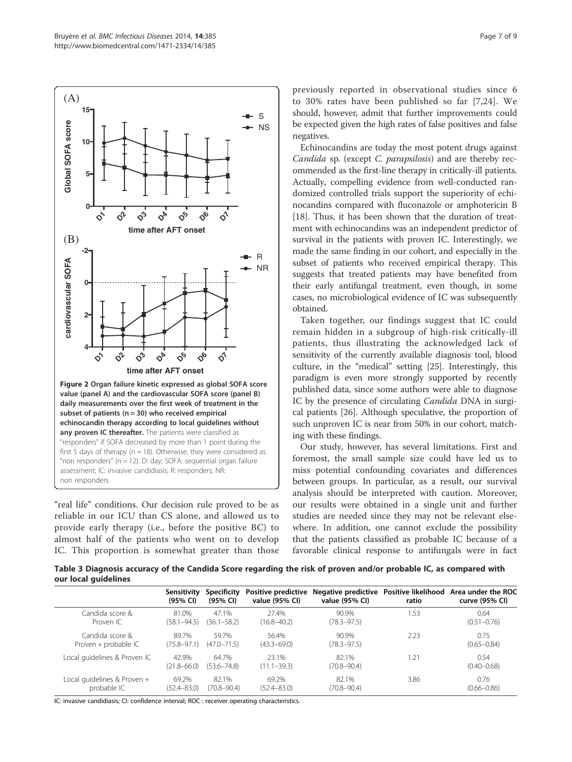

"real life" conditions. Our decision rule proved to be as reliable in our ICU than CS alone, and allowed us to provide early therapy (i.e., before the positive BC) to almost half of the patients who went on to develop IC. This proportion is somewhat greater than those

previously reported in observational studies since 6 to 30% rates have been published so far [7,24]. We should, however, admit that further improvements could be expected given the high rates of false positives and false negatives.

Echinocandins are today the most potent drugs against Candida sp. (except C. parapsilosis) and are thereby recommended as the first-line therapy in critically-ill patients. Actually, compelling evidence from well-conducted randomized controlled trials support the superiority of echinocandins compared with fluconazole or amphotericin B [18]. Thus, it has been shown that the duration of treatment with echinocandins was an independent predictor of survival in the patients with proven IC. Interestingly, we made the same finding in our cohort, and especially in the subset of patients who received empirical therapy. This suggests that treated patients may have benefited from their early antifungal treatment, even though, in some cases, no microbiological evidence of IC was subsequently obtained.

Taken together, our findings suggest that IC could remain hidden in a subgroup of high-risk critically-ill patients, thus illustrating the acknowledged lack of sensitivity of the currently available diagnosis tool, blood culture, in the "medical" setting [25]. Interestingly, this paradigm is even more strongly supported by recently published data, since some authors were able to diagnose IC by the presence of circulating Candida DNA in surgical patients [26]. Although speculative, the proportion of such unproven IC is near from 50% in our cohort, matching with these findings.

Our study, however, has several limitations. First and foremost, the small sample size could have led us to miss potential confounding covariates and differences between groups. In particular, as a result, our survival analysis should be interpreted with caution. Moreover, our results were obtained in a single unit and further studies are needed since they may not be relevant elsewhere. In addition, one cannot exclude the possibility that the patients classified as probable IC because of a favorable clinical response to antifungals were in fact

Table 3 Diagnosis accuracy of the Candida Score regarding the risk of proven and/or probable IC, as compared with our local guidelines

|                              | Sensitivity<br>(95% CI)  | Specificity<br>(95% CI) | Positive predictive<br>value (95% CI) | Negative predictive Positive likelihood<br>value (95% CI) | ratio | Area under the ROC<br>curve (95% CI) |
|------------------------------|--------------------------|-------------------------|---------------------------------------|-----------------------------------------------------------|-------|--------------------------------------|
| Candida score &              | 81.0%                    | 47.1%                   | 27.4%                                 | 90.9%                                                     | 1.53  | 0.64                                 |
| Proven IC                    | $(58.1 - 94.5)$          | $(36.1 - 58.2)$         | $(16.8 - 40.2)$                       | $(78.3 - 97.5)$                                           |       | $(0.51 - 0.76)$                      |
| Candida score &              | 897%                     | 59.7%                   | 56.4%                                 | 90.9%                                                     | 2.23  | 0.75                                 |
| Proven + probable IC         | (75.8–97.1)              | $(47.0 - 71.5)$         | $(43.3 - 69.0)$                       | $(78.3 - 97.5)$                                           |       | $(0.65 - 0.84)$                      |
| Local guidelines & Proven IC | 42.9%<br>$(21.8 - 66.0)$ | 64.7%<br>(53.6–74.8)    | 23.1%<br>$(11.1 - 39.3)$              | 82.1%<br>$(70.8 - 90.4)$                                  | 1.21  | 0.54<br>$(0.40 - 0.68)$              |
| Local quidelines & Proven +  | 69.2%                    | 82.1%                   | 69.2%                                 | 82.1%                                                     | 3.86  | 0.76                                 |
| probable IC                  | $(52.4 - 83.0)$          | $(70.8 - 90.4)$         | $(52.4 - 83.0)$                       | $(70.8 - 90.4)$                                           |       | $(0.66 - 0.86)$                      |

IC: invasive candidiasis; CI: confidence interval; ROC : receiver operating characteristics.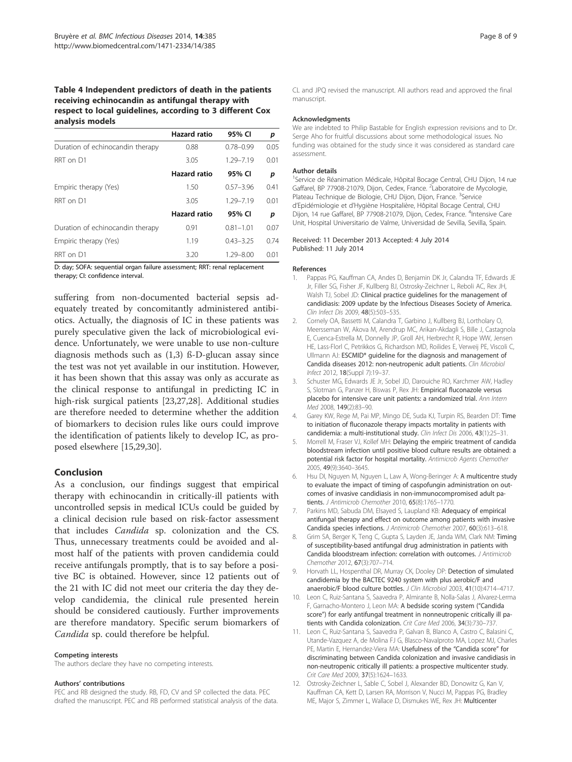# Table 4 Independent predictors of death in the patients receiving echinocandin as antifungal therapy with respect to local guidelines, according to 3 different Cox analysis models

|                                  | <b>Hazard ratio</b> | 95% CI        | р    |
|----------------------------------|---------------------|---------------|------|
| Duration of echinocandin therapy | 0.88                | $0.78 - 0.99$ | 0.05 |
| RRT on D1                        | 3.05                | 1.29-7.19     | 0.01 |
|                                  | Hazard ratio        | 95% CI        | р    |
| Empiric therapy (Yes)            | 1.50                | $0.57 - 3.96$ | 0.41 |
| RRT on D1                        | 3.05                | 1.29-7.19     | 0.01 |
|                                  | <b>Hazard ratio</b> | 95% CI        | р    |
| Duration of echinocandin therapy | 0.91                | $0.81 - 1.01$ | 0.07 |
| Empiric therapy (Yes)            | 1.19                | $0.43 - 3.25$ | 0.74 |
| RRT on D1                        | 3.20                | $1.29 - 8.00$ | 0.01 |

D: day; SOFA: sequential organ failure assessment; RRT: renal replacement therapy; CI: confidence interval.

suffering from non-documented bacterial sepsis adequately treated by concomitantly administered antibiotics. Actually, the diagnosis of IC in these patients was purely speculative given the lack of microbiological evidence. Unfortunately, we were unable to use non-culture diagnosis methods such as (1,3) ß-D-glucan assay since the test was not yet available in our institution. However, it has been shown that this assay was only as accurate as the clinical response to antifungal in predicting IC in high-risk surgical patients [23,27,28]. Additional studies are therefore needed to determine whether the addition of biomarkers to decision rules like ours could improve the identification of patients likely to develop IC, as proposed elsewhere [15,29,30].

# Conclusion

As a conclusion, our findings suggest that empirical therapy with echinocandin in critically-ill patients with uncontrolled sepsis in medical ICUs could be guided by a clinical decision rule based on risk-factor assessment that includes Candida sp. colonization and the CS. Thus, unnecessary treatments could be avoided and almost half of the patients with proven candidemia could receive antifungals promptly, that is to say before a positive BC is obtained. However, since 12 patients out of the 21 with IC did not meet our criteria the day they develop candidemia, the clinical rule presented herein should be considered cautiously. Further improvements are therefore mandatory. Specific serum biomarkers of Candida sp. could therefore be helpful.

#### Competing interests

The authors declare they have no competing interests.

#### Authors' contributions

PEC and RB designed the study. RB, FD, CV and SP collected the data. PEC drafted the manuscript. PEC and RB performed statistical analysis of the data. CL and JPQ revised the manuscript. All authors read and approved the final manuscript.

#### Acknowledgments

We are indebted to Philip Bastable for English expression revisions and to Dr. Serge Aho for fruitful discussions about some methodological issues. No funding was obtained for the study since it was considered as standard care assessment.

#### Author details

<sup>1</sup>Service de Réanimation Médicale, Hôpital Bocage Central, CHU Dijon, 14 rue Gaffarel, BP 77908-21079, Dijon, Cedex, France. <sup>2</sup>Laboratoire de Mycologie Plateau Technique de Biologie, CHU Dijon, Dijon, France. <sup>3</sup>Service d'Epidémiologie et d'Hygiène Hospitalière, Hôpital Bocage Central, CHU Dijon, 14 rue Gaffarel, BP 77908-21079, Dijon, Cedex, France. <sup>4</sup>Intensive Care Unit, Hospital Universitario de Valme, Universidad de Sevilla, Sevilla, Spain.

#### Received: 11 December 2013 Accepted: 4 July 2014 Published: 11 July 2014

#### References

- 1. Pappas PG, Kauffman CA, Andes D, Benjamin DK Jr, Calandra TF, Edwards JE Jr, Filler SG, Fisher JF, Kullberg BJ, Ostrosky-Zeichner L, Reboli AC, Rex JH, Walsh TJ, Sobel JD: Clinical practice quidelines for the management of candidiasis: 2009 update by the Infectious Diseases Society of America. Clin Infect Dis 2009, 48(5):503–535.
- 2. Cornely OA, Bassetti M, Calandra T, Garbino J, Kullberg BJ, Lortholary O, Meersseman W, Akova M, Arendrup MC, Arikan-Akdagli S, Bille J, Castagnola E, Cuenca-Estrella M, Donnelly JP, Groll AH, Herbrecht R, Hope WW, Jensen HE, Lass-Florl C, Petrikkos G, Richardson MD, Roilides E, Verweij PE, Viscoli C, Ullmann AJ: ESCMID\* guideline for the diagnosis and management of Candida diseases 2012: non-neutropenic adult patients. Clin Microbiol Infect 2012, 18(Suppl 7):19–37.
- 3. Schuster MG, Edwards JE Jr, Sobel JD, Darouiche RO, Karchmer AW, Hadley S, Slotman G, Panzer H, Biswas P, Rex JH: Empirical fluconazole versus placebo for intensive care unit patients: a randomized trial. Ann Intern Med 2008, 149(2):83–90.
- 4. Garey KW, Rege M, Pai MP, Mingo DE, Suda KJ, Turpin RS, Bearden DT: Time to initiation of fluconazole therapy impacts mortality in patients with candidemia: a multi-institutional study. Clin Infect Dis 2006, 43(1):25-31.
- 5. Morrell M, Fraser VJ, Kollef MH: Delaying the empiric treatment of candida bloodstream infection until positive blood culture results are obtained: a potential risk factor for hospital mortality. Antimicrob Agents Chemother 2005, 49(9):3640–3645.
- 6. Hsu DI, Nguyen M, Nguyen L, Law A, Wong-Beringer A: A multicentre study to evaluate the impact of timing of caspofungin administration on outcomes of invasive candidiasis in non-immunocompromised adult patients. J Antimicrob Chemother 2010, 65(8):1765–1770.
- 7. Parkins MD, Sabuda DM, Elsayed S, Laupland KB: Adequacy of empirical antifungal therapy and effect on outcome among patients with invasive Candida species infections. J Antimicrob Chemother 2007, 60(3):613–618.
- 8. Grim SA, Berger K, Teng C, Gupta S, Layden JE, Janda WM, Clark NM: Timing of susceptibility-based antifungal drug administration in patients with Candida bloodstream infection: correlation with outcomes. J Antimicrob Chemother 2012, 67(3):707–714.
- 9. Horvath LL, Hospenthal DR, Murray CK, Dooley DP: Detection of simulated candidemia by the BACTEC 9240 system with plus aerobic/F and anaerobic/F blood culture bottles. J Clin Microbiol 2003, 41(10):4714-4717.
- 10. Leon C, Ruiz-Santana S, Saavedra P, Almirante B, Nolla-Salas J, Alvarez-Lerma F, Garnacho-Montero J, Leon MA: A bedside scoring system ("Candida score") for early antifungal treatment in nonneutropenic critically ill patients with Candida colonization. Crit Care Med 2006, 34(3):730–737.
- 11. Leon C, Ruiz-Santana S, Saavedra P, Galvan B, Blanco A, Castro C, Balasini C, Utande-Vazquez A, de Molina FJ G, Blasco-Navalproto MA, Lopez MJ, Charles PE, Martin E, Hernandez-Viera MA: Usefulness of the "Candida score" for discriminating between Candida colonization and invasive candidiasis in non-neutropenic critically ill patients: a prospective multicenter study. Crit Care Med 2009, 37(5):1624–1633.
- 12. Ostrosky-Zeichner L, Sable C, Sobel J, Alexander BD, Donowitz G, Kan V, Kauffman CA, Kett D, Larsen RA, Morrison V, Nucci M, Pappas PG, Bradley ME, Major S, Zimmer L, Wallace D, Dismukes WE, Rex JH: Multicenter